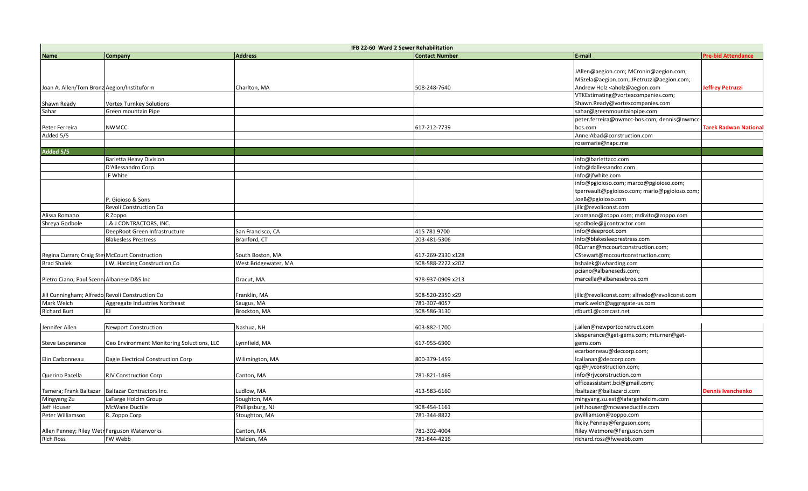|                                              | IFB 22-60 Ward 2 Sewer Rehabilitation           |                      |                   |                                                                    |                                              |  |  |
|----------------------------------------------|-------------------------------------------------|----------------------|-------------------|--------------------------------------------------------------------|----------------------------------------------|--|--|
| <b>Name</b>                                  | Company                                         | <b>Address</b>       | Contact Number    | E-mail                                                             | <b>Pre-bid Attendance</b>                    |  |  |
|                                              |                                                 |                      |                   |                                                                    |                                              |  |  |
|                                              |                                                 |                      |                   | JAllen@aegion.com; MCronin@aegion.com;                             |                                              |  |  |
|                                              |                                                 |                      |                   | MSzela@aegion.com; JPetruzzi@aegion.com;                           |                                              |  |  |
| Joan A. Allen/Tom Bronz Aegion/Instituform   |                                                 | Charlton, MA         | 508-248-7640      | Andrew Holz <aholz@aegion.com< td=""><td></td></aholz@aegion.com<> |                                              |  |  |
|                                              |                                                 |                      |                   | VTKEstimating@vortexcompanies.com;                                 |                                              |  |  |
| Shawn Ready                                  | Vortex Turnkey Solutions                        |                      |                   | Shawn.Ready@vortexcompanies.com                                    |                                              |  |  |
| Sahar                                        | Green mountain Pipe                             |                      |                   | sahar@greenmountainpipe.com                                        |                                              |  |  |
|                                              |                                                 |                      |                   | peter.ferreira@nwmcc-bos.com; dennis@nwmcc-                        | Jeffrey Petruzzi<br><b>Dennis Ivanchenko</b> |  |  |
| Peter Ferreira                               | NWMCC                                           |                      | 617-212-7739      | bos.com                                                            |                                              |  |  |
| Added 5/5                                    |                                                 |                      |                   | Anne.Abad@construction.com                                         |                                              |  |  |
|                                              |                                                 |                      |                   | rosemarie@napc.me                                                  |                                              |  |  |
| Added 5/5                                    |                                                 |                      |                   |                                                                    |                                              |  |  |
|                                              | <b>Barletta Heavy Division</b>                  |                      |                   | info@barlettaco.com                                                |                                              |  |  |
|                                              | D'Allessandro Corp.                             |                      |                   | info@dallessandro.com                                              |                                              |  |  |
|                                              | JF White                                        |                      |                   | info@jfwhite.com                                                   |                                              |  |  |
|                                              |                                                 |                      |                   | info@pgioioso.com; marco@pgioioso.com;                             |                                              |  |  |
|                                              |                                                 |                      |                   | tperreault@pgioioso.com; mario@pgioioso.com;                       |                                              |  |  |
|                                              | P. Gioioso & Sons                               |                      |                   | JoeB@pgioioso.com                                                  |                                              |  |  |
|                                              | Revoli Construction Co                          |                      |                   | jillc@revoliconst.com                                              |                                              |  |  |
| Alissa Romano                                | R Zoppo                                         |                      |                   | aromano@zoppo.com; mdivito@zoppo.com                               |                                              |  |  |
| Shreya Godbole                               | J & J CONTRACTORS, INC.                         |                      |                   | sgodbole@jjcontractor.com                                          |                                              |  |  |
|                                              | DeepRoot Green Infrastructure                   | San Francisco, CA    | 415 781 9700      | info@deeproot.com                                                  |                                              |  |  |
|                                              | <b>Blakesless Prestress</b>                     | Branford, CT         | 203-481-5306      | info@blakesleeprestress.com                                        |                                              |  |  |
|                                              |                                                 |                      |                   | RCurran@mccourtconstruction.com;                                   | <b>Tarek Radwan Nationa</b>                  |  |  |
|                                              | Regina Curran; Craig Ste McCourt Construction   | South Boston, MA     | 617-269-2330 x128 | CStewart@mccourtconstruction.com;                                  |                                              |  |  |
| <b>Brad Shalek</b>                           | I.W. Harding Construction Co                    | West Bridgewater, MA | 508-588-2222 x202 | bshalek@iwharding.com                                              |                                              |  |  |
|                                              |                                                 |                      |                   | pciano@albaneseds.com;                                             |                                              |  |  |
| Pietro Ciano; Paul Scenn Albanese D&S Inc    |                                                 | Dracut, MA           | 978-937-0909 x213 | marcella@albanesebros.com                                          |                                              |  |  |
|                                              |                                                 |                      |                   |                                                                    |                                              |  |  |
|                                              | Jill Cunningham; Alfredo Revoli Construction Co | Franklin, MA         | 508-520-2350 x29  | illc@revoliconst.com; alfredo@revoliconst.com                      |                                              |  |  |
| Mark Welch                                   | Aggregate Industries Northeast                  | Saugus, MA           | 781-307-4057      | mark.welch@aggregate-us.com                                        |                                              |  |  |
| <b>Richard Burt</b>                          | EJ                                              | Brockton, MA         | 508-586-3130      | rfburt1@comcast.net                                                |                                              |  |  |
|                                              |                                                 |                      |                   |                                                                    |                                              |  |  |
| Jennifer Allen                               | <b>Newport Construction</b>                     | Nashua, NH           | 603-882-1700      | j.allen@newportconstruct.com                                       |                                              |  |  |
|                                              |                                                 |                      |                   | slesperance@get-gems.com; mturner@get-                             |                                              |  |  |
| Steve Lesperance                             | Geo Environment Monitoring Soluctions, LLC      | Lynnfield, MA        | 617-955-6300      | gems.com                                                           |                                              |  |  |
|                                              |                                                 |                      |                   | ecarbonneau@deccorp.com;                                           |                                              |  |  |
| Elin Carbonneau                              | Dagle Electrical Construction Corp              | Wilimington, MA      | 800-379-1459      | lcallanan@deccorp.com                                              |                                              |  |  |
|                                              |                                                 |                      |                   | qp@rjvconstruction.com;                                            |                                              |  |  |
| Querino Pacella                              | <b>RJV Construction Corp</b>                    | Canton, MA           | 781-821-1469      | info@rjvconstruction.com                                           |                                              |  |  |
|                                              |                                                 |                      |                   | officeassistant.bci@gmail.com;                                     |                                              |  |  |
| Tamera; Frank Baltazar                       | <b>Baltazar Contractors Inc.</b>                | udlow, MA            | 413-583-6160      | fbaltazar@baltazarci.com                                           |                                              |  |  |
| Mingyang Zu                                  | LaFarge Holcim Group                            | Soughton, MA         |                   | mingyang.zu.ext@lafargeholcim.com                                  |                                              |  |  |
| Jeff Houser                                  | <b>McWane Ductile</b>                           | Phillipsburg, NJ     | 908-454-1161      | jeff.houser@mcwaneductile.com                                      |                                              |  |  |
| Peter Williamson                             |                                                 |                      | 781-344-8822      |                                                                    |                                              |  |  |
|                                              | R. Zoppo Corp                                   | Stoughton, MA        |                   | pwilliamson@zoppo.com<br>Ricky.Penney@ferguson.com;                |                                              |  |  |
|                                              |                                                 |                      |                   |                                                                    |                                              |  |  |
| Allen Penney; Riley Wetn Ferguson Waterworks |                                                 | Canton, MA           | 781-302-4004      | Riley.Wetmore@Ferguson.com                                         |                                              |  |  |
| <b>Rich Ross</b>                             | FW Webb                                         | Malden, MA           | 781-844-4216      | richard.ross@fwwebb.com                                            |                                              |  |  |